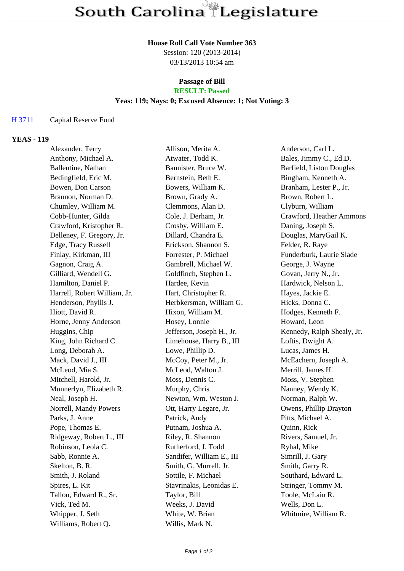## **House Roll Call Vote Number 363**

Session: 120 (2013-2014) 03/13/2013 10:54 am

#### **Passage of Bill RESULT: Passed**

# **Yeas: 119; Nays: 0; Excused Absence: 1; Not Voting: 3**

## H 3711 Capital Reserve Fund

## **YEAS - 119**

| Alexander, Terry             | Allison, Merita A.        | Anderson, Carl L.          |
|------------------------------|---------------------------|----------------------------|
| Anthony, Michael A.          | Atwater, Todd K.          | Bales, Jimmy C., Ed.D.     |
| Ballentine, Nathan           | Bannister, Bruce W.       | Barfield, Liston Douglas   |
| Bedingfield, Eric M.         | Bernstein, Beth E.        | Bingham, Kenneth A.        |
| Bowen, Don Carson            | Bowers, William K.        | Branham, Lester P., Jr.    |
| Brannon, Norman D.           | Brown, Grady A.           | Brown, Robert L.           |
| Chumley, William M.          | Clemmons, Alan D.         | Clyburn, William           |
| Cobb-Hunter, Gilda           | Cole, J. Derham, Jr.      | Crawford, Heather Ammons   |
| Crawford, Kristopher R.      | Crosby, William E.        | Daning, Joseph S.          |
| Delleney, F. Gregory, Jr.    | Dillard, Chandra E.       | Douglas, MaryGail K.       |
| Edge, Tracy Russell          | Erickson, Shannon S.      | Felder, R. Raye            |
| Finlay, Kirkman, III         | Forrester, P. Michael     | Funderburk, Laurie Slade   |
| Gagnon, Craig A.             | Gambrell, Michael W.      | George, J. Wayne           |
| Gilliard, Wendell G.         | Goldfinch, Stephen L.     | Govan, Jerry N., Jr.       |
| Hamilton, Daniel P.          | Hardee, Kevin             | Hardwick, Nelson L.        |
| Harrell, Robert William, Jr. | Hart, Christopher R.      | Hayes, Jackie E.           |
| Henderson, Phyllis J.        | Herbkersman, William G.   | Hicks, Donna C.            |
| Hiott, David R.              | Hixon, William M.         | Hodges, Kenneth F.         |
| Horne, Jenny Anderson        | Hosey, Lonnie             | Howard, Leon               |
| Huggins, Chip                | Jefferson, Joseph H., Jr. | Kennedy, Ralph Shealy, Jr. |
| King, John Richard C.        | Limehouse, Harry B., III  | Loftis, Dwight A.          |
| Long, Deborah A.             | Lowe, Phillip D.          | Lucas, James H.            |
| Mack, David J., III          | McCoy, Peter M., Jr.      | McEachern, Joseph A.       |
| McLeod, Mia S.               | McLeod, Walton J.         | Merrill, James H.          |
| Mitchell, Harold, Jr.        | Moss, Dennis C.           | Moss, V. Stephen           |
| Munnerlyn, Elizabeth R.      | Murphy, Chris             | Nanney, Wendy K.           |
| Neal, Joseph H.              | Newton, Wm. Weston J.     | Norman, Ralph W.           |
| Norrell, Mandy Powers        | Ott, Harry Legare, Jr.    | Owens, Phillip Drayton     |
| Parks, J. Anne               | Patrick, Andy             | Pitts, Michael A.          |
| Pope, Thomas E.              | Putnam, Joshua A.         | Quinn, Rick                |
| Ridgeway, Robert L., III     | Riley, R. Shannon         | Rivers, Samuel, Jr.        |
| Robinson, Leola C.           | Rutherford, J. Todd       | Ryhal, Mike                |
| Sabb, Ronnie A.              | Sandifer, William E., III | Simrill, J. Gary           |
| Skelton, B. R.               | Smith, G. Murrell, Jr.    | Smith, Garry R.            |
| Smith, J. Roland             | Sottile, F. Michael       | Southard, Edward L.        |
| Spires, L. Kit               | Stavrinakis, Leonidas E.  | Stringer, Tommy M.         |
| Tallon, Edward R., Sr.       | Taylor, Bill              | Toole, McLain R.           |
| Vick, Ted M.                 | Weeks, J. David           | Wells, Don L.              |
| Whipper, J. Seth             | White, W. Brian           | Whitmire, William R.       |
| Williams, Robert Q.          | Willis, Mark N.           |                            |